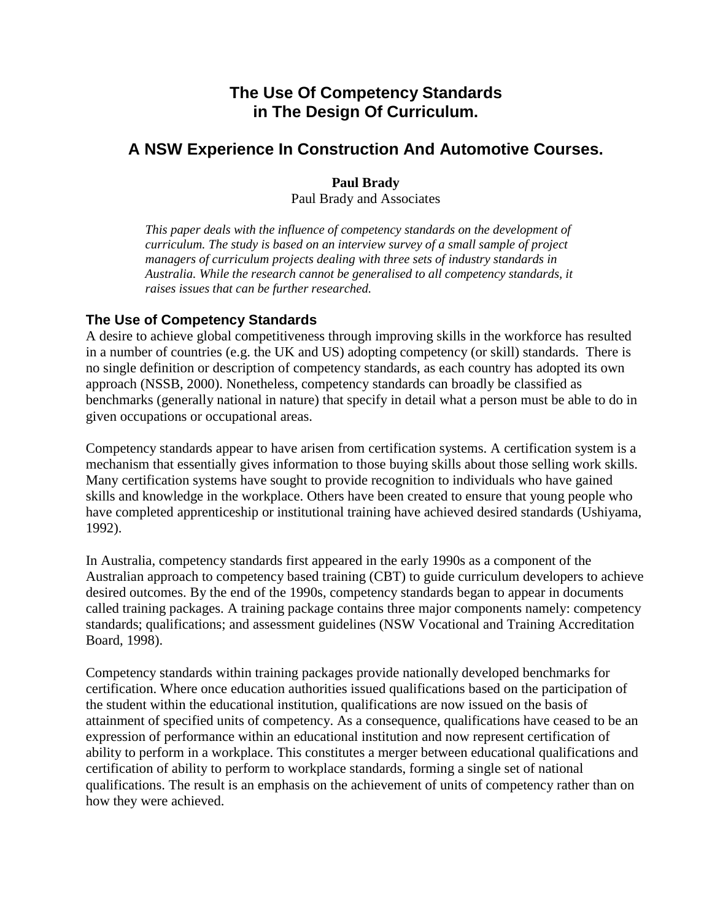# **The Use Of Competency Standards in The Design Of Curriculum.**

# **A NSW Experience In Construction And Automotive Courses.**

**Paul Brady**  Paul Brady and Associates

*This paper deals with the influence of competency standards on the development of curriculum. The study is based on an interview survey of a small sample of project managers of curriculum projects dealing with three sets of industry standards in Australia. While the research cannot be generalised to all competency standards, it raises issues that can be further researched.* 

## **The Use of Competency Standards**

A desire to achieve global competitiveness through improving skills in the workforce has resulted in a number of countries (e.g. the UK and US) adopting competency (or skill) standards. There is no single definition or description of competency standards, as each country has adopted its own approach (NSSB, 2000). Nonetheless, competency standards can broadly be classified as benchmarks (generally national in nature) that specify in detail what a person must be able to do in given occupations or occupational areas.

Competency standards appear to have arisen from certification systems. A certification system is a mechanism that essentially gives information to those buying skills about those selling work skills. Many certification systems have sought to provide recognition to individuals who have gained skills and knowledge in the workplace. Others have been created to ensure that young people who have completed apprenticeship or institutional training have achieved desired standards (Ushiyama, 1992).

In Australia, competency standards first appeared in the early 1990s as a component of the Australian approach to competency based training (CBT) to guide curriculum developers to achieve desired outcomes. By the end of the 1990s, competency standards began to appear in documents called training packages. A training package contains three major components namely: competency standards; qualifications; and assessment guidelines (NSW Vocational and Training Accreditation Board, 1998).

Competency standards within training packages provide nationally developed benchmarks for certification. Where once education authorities issued qualifications based on the participation of the student within the educational institution, qualifications are now issued on the basis of attainment of specified units of competency. As a consequence, qualifications have ceased to be an expression of performance within an educational institution and now represent certification of ability to perform in a workplace. This constitutes a merger between educational qualifications and certification of ability to perform to workplace standards, forming a single set of national qualifications. The result is an emphasis on the achievement of units of competency rather than on how they were achieved.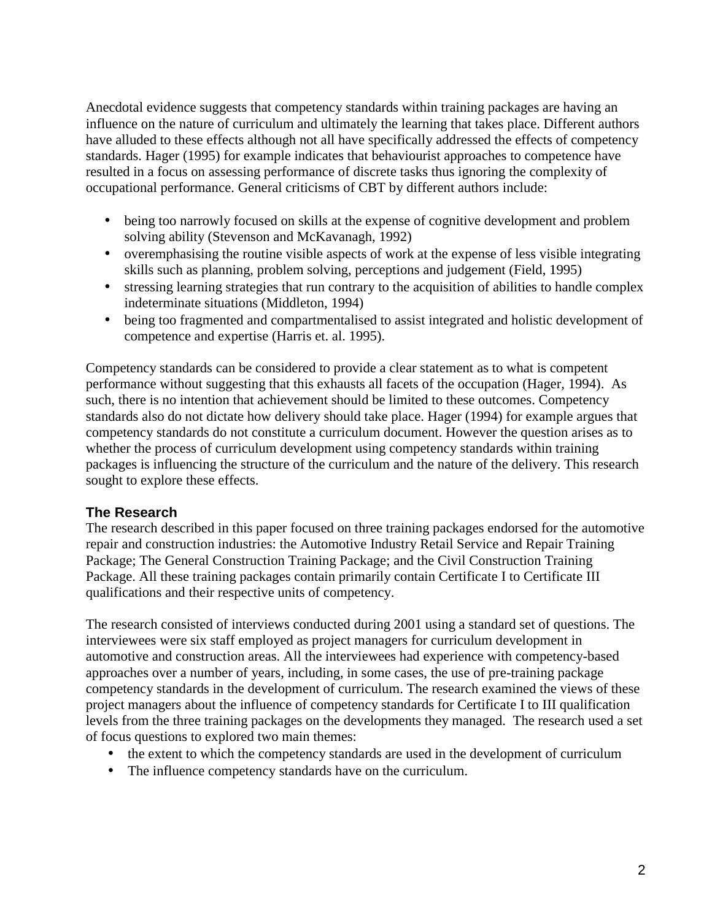Anecdotal evidence suggests that competency standards within training packages are having an influence on the nature of curriculum and ultimately the learning that takes place. Different authors have alluded to these effects although not all have specifically addressed the effects of competency standards. Hager (1995) for example indicates that behaviourist approaches to competence have resulted in a focus on assessing performance of discrete tasks thus ignoring the complexity of occupational performance. General criticisms of CBT by different authors include:

- being too narrowly focused on skills at the expense of cognitive development and problem solving ability (Stevenson and McKavanagh, 1992)
- overemphasising the routine visible aspects of work at the expense of less visible integrating skills such as planning, problem solving, perceptions and judgement (Field, 1995)
- stressing learning strategies that run contrary to the acquisition of abilities to handle complex indeterminate situations (Middleton, 1994)
- being too fragmented and compartmentalised to assist integrated and holistic development of competence and expertise (Harris et. al. 1995).

Competency standards can be considered to provide a clear statement as to what is competent performance without suggesting that this exhausts all facets of the occupation (Hager, 1994). As such, there is no intention that achievement should be limited to these outcomes. Competency standards also do not dictate how delivery should take place. Hager (1994) for example argues that competency standards do not constitute a curriculum document. However the question arises as to whether the process of curriculum development using competency standards within training packages is influencing the structure of the curriculum and the nature of the delivery. This research sought to explore these effects.

## **The Research**

The research described in this paper focused on three training packages endorsed for the automotive repair and construction industries: the Automotive Industry Retail Service and Repair Training Package; The General Construction Training Package; and the Civil Construction Training Package. All these training packages contain primarily contain Certificate I to Certificate III qualifications and their respective units of competency.

The research consisted of interviews conducted during 2001 using a standard set of questions. The interviewees were six staff employed as project managers for curriculum development in automotive and construction areas. All the interviewees had experience with competency-based approaches over a number of years, including, in some cases, the use of pre-training package competency standards in the development of curriculum. The research examined the views of these project managers about the influence of competency standards for Certificate I to III qualification levels from the three training packages on the developments they managed. The research used a set of focus questions to explored two main themes:

- the extent to which the competency standards are used in the development of curriculum
- The influence competency standards have on the curriculum.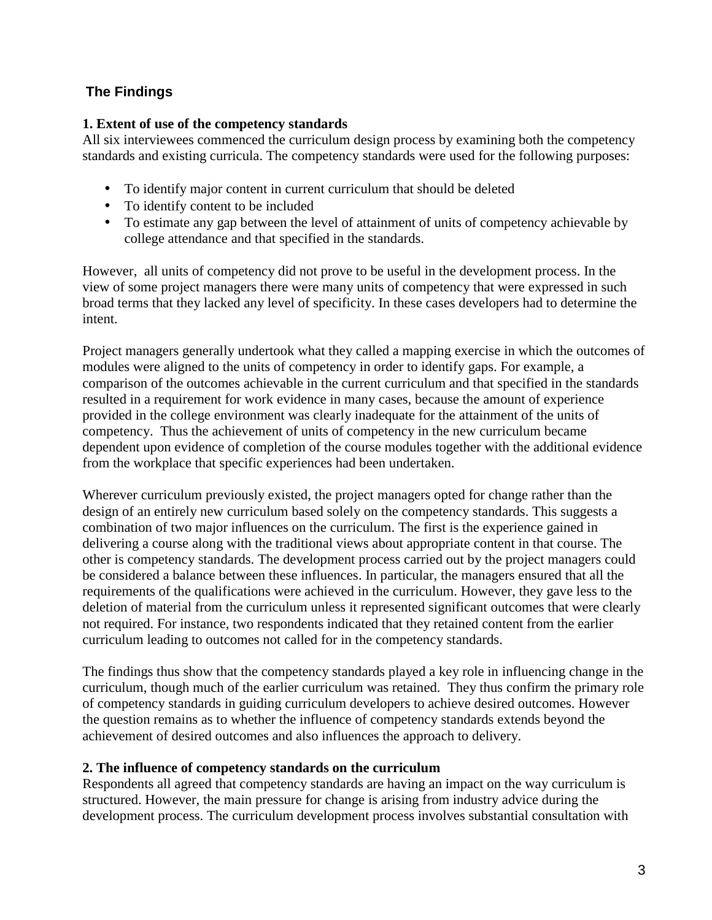## **The Findings**

### **1. Extent of use of the competency standards**

All six interviewees commenced the curriculum design process by examining both the competency standards and existing curricula. The competency standards were used for the following purposes:

- To identify major content in current curriculum that should be deleted
- To identify content to be included
- To estimate any gap between the level of attainment of units of competency achievable by college attendance and that specified in the standards.

However, all units of competency did not prove to be useful in the development process. In the view of some project managers there were many units of competency that were expressed in such broad terms that they lacked any level of specificity. In these cases developers had to determine the intent.

Project managers generally undertook what they called a mapping exercise in which the outcomes of modules were aligned to the units of competency in order to identify gaps. For example, a comparison of the outcomes achievable in the current curriculum and that specified in the standards resulted in a requirement for work evidence in many cases, because the amount of experience provided in the college environment was clearly inadequate for the attainment of the units of competency. Thus the achievement of units of competency in the new curriculum became dependent upon evidence of completion of the course modules together with the additional evidence from the workplace that specific experiences had been undertaken.

Wherever curriculum previously existed, the project managers opted for change rather than the design of an entirely new curriculum based solely on the competency standards. This suggests a combination of two major influences on the curriculum. The first is the experience gained in delivering a course along with the traditional views about appropriate content in that course. The other is competency standards. The development process carried out by the project managers could be considered a balance between these influences. In particular, the managers ensured that all the requirements of the qualifications were achieved in the curriculum. However, they gave less to the deletion of material from the curriculum unless it represented significant outcomes that were clearly not required. For instance, two respondents indicated that they retained content from the earlier curriculum leading to outcomes not called for in the competency standards.

The findings thus show that the competency standards played a key role in influencing change in the curriculum, though much of the earlier curriculum was retained. They thus confirm the primary role of competency standards in guiding curriculum developers to achieve desired outcomes. However the question remains as to whether the influence of competency standards extends beyond the achievement of desired outcomes and also influences the approach to delivery.

### **2. The influence of competency standards on the curriculum**

Respondents all agreed that competency standards are having an impact on the way curriculum is structured. However, the main pressure for change is arising from industry advice during the development process. The curriculum development process involves substantial consultation with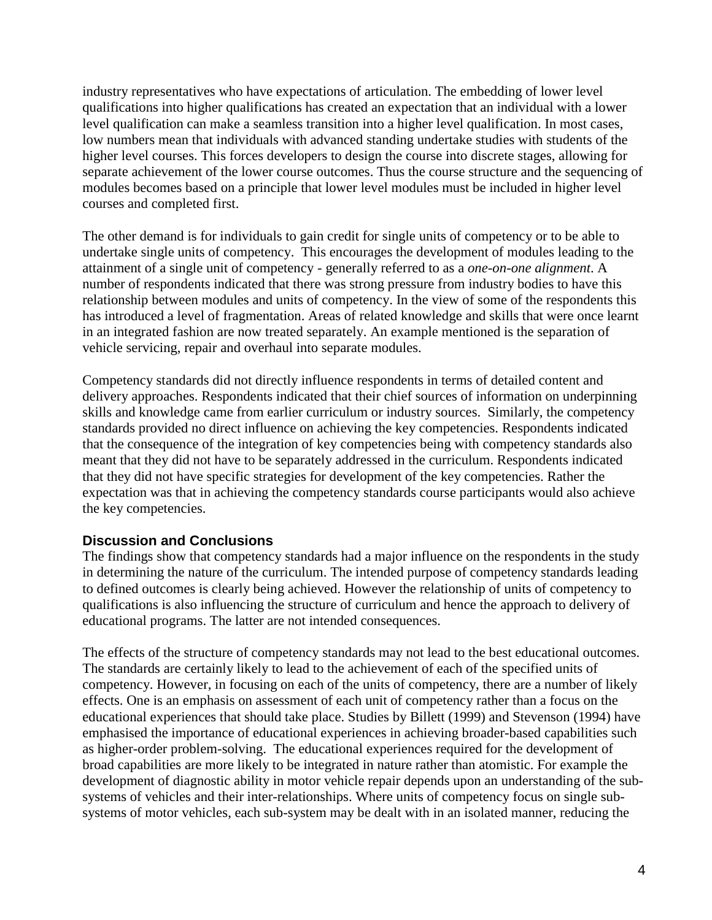industry representatives who have expectations of articulation. The embedding of lower level qualifications into higher qualifications has created an expectation that an individual with a lower level qualification can make a seamless transition into a higher level qualification. In most cases, low numbers mean that individuals with advanced standing undertake studies with students of the higher level courses. This forces developers to design the course into discrete stages, allowing for separate achievement of the lower course outcomes. Thus the course structure and the sequencing of modules becomes based on a principle that lower level modules must be included in higher level courses and completed first.

The other demand is for individuals to gain credit for single units of competency or to be able to undertake single units of competency. This encourages the development of modules leading to the attainment of a single unit of competency - generally referred to as a *one-on-one alignment*. A number of respondents indicated that there was strong pressure from industry bodies to have this relationship between modules and units of competency. In the view of some of the respondents this has introduced a level of fragmentation. Areas of related knowledge and skills that were once learnt in an integrated fashion are now treated separately. An example mentioned is the separation of vehicle servicing, repair and overhaul into separate modules.

Competency standards did not directly influence respondents in terms of detailed content and delivery approaches. Respondents indicated that their chief sources of information on underpinning skills and knowledge came from earlier curriculum or industry sources. Similarly, the competency standards provided no direct influence on achieving the key competencies. Respondents indicated that the consequence of the integration of key competencies being with competency standards also meant that they did not have to be separately addressed in the curriculum. Respondents indicated that they did not have specific strategies for development of the key competencies. Rather the expectation was that in achieving the competency standards course participants would also achieve the key competencies.

### **Discussion and Conclusions**

The findings show that competency standards had a major influence on the respondents in the study in determining the nature of the curriculum. The intended purpose of competency standards leading to defined outcomes is clearly being achieved. However the relationship of units of competency to qualifications is also influencing the structure of curriculum and hence the approach to delivery of educational programs. The latter are not intended consequences.

The effects of the structure of competency standards may not lead to the best educational outcomes. The standards are certainly likely to lead to the achievement of each of the specified units of competency. However, in focusing on each of the units of competency, there are a number of likely effects. One is an emphasis on assessment of each unit of competency rather than a focus on the educational experiences that should take place. Studies by Billett (1999) and Stevenson (1994) have emphasised the importance of educational experiences in achieving broader-based capabilities such as higher-order problem-solving. The educational experiences required for the development of broad capabilities are more likely to be integrated in nature rather than atomistic. For example the development of diagnostic ability in motor vehicle repair depends upon an understanding of the subsystems of vehicles and their inter-relationships. Where units of competency focus on single subsystems of motor vehicles, each sub-system may be dealt with in an isolated manner, reducing the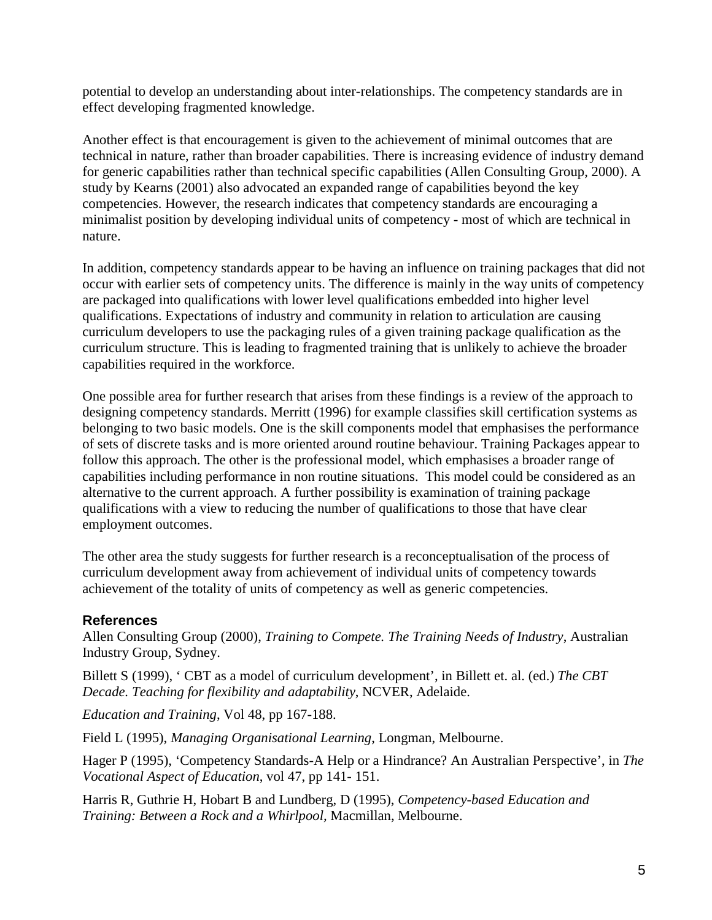potential to develop an understanding about inter-relationships. The competency standards are in effect developing fragmented knowledge.

Another effect is that encouragement is given to the achievement of minimal outcomes that are technical in nature, rather than broader capabilities. There is increasing evidence of industry demand for generic capabilities rather than technical specific capabilities (Allen Consulting Group, 2000). A study by Kearns (2001) also advocated an expanded range of capabilities beyond the key competencies. However, the research indicates that competency standards are encouraging a minimalist position by developing individual units of competency - most of which are technical in nature.

In addition, competency standards appear to be having an influence on training packages that did not occur with earlier sets of competency units. The difference is mainly in the way units of competency are packaged into qualifications with lower level qualifications embedded into higher level qualifications. Expectations of industry and community in relation to articulation are causing curriculum developers to use the packaging rules of a given training package qualification as the curriculum structure. This is leading to fragmented training that is unlikely to achieve the broader capabilities required in the workforce.

One possible area for further research that arises from these findings is a review of the approach to designing competency standards. Merritt (1996) for example classifies skill certification systems as belonging to two basic models. One is the skill components model that emphasises the performance of sets of discrete tasks and is more oriented around routine behaviour. Training Packages appear to follow this approach. The other is the professional model, which emphasises a broader range of capabilities including performance in non routine situations. This model could be considered as an alternative to the current approach. A further possibility is examination of training package qualifications with a view to reducing the number of qualifications to those that have clear employment outcomes.

The other area the study suggests for further research is a reconceptualisation of the process of curriculum development away from achievement of individual units of competency towards achievement of the totality of units of competency as well as generic competencies.

### **References**

Allen Consulting Group (2000), *Training to Compete. The Training Needs of Industry*, Australian Industry Group, Sydney.

Billett S (1999), ' CBT as a model of curriculum development', in Billett et. al. (ed.) *The CBT Decade. Teaching for flexibility and adaptability*, NCVER, Adelaide.

*Education and Training*, Vol 48, pp 167-188.

Field L (1995), *Managing Organisational Learning*, Longman, Melbourne.

Hager P (1995), 'Competency Standards-A Help or a Hindrance? An Australian Perspective', in *The Vocational Aspect of Education*, vol 47, pp 141- 151.

Harris R, Guthrie H, Hobart B and Lundberg, D (1995), *Competency-based Education and Training: Between a Rock and a Whirlpool,* Macmillan, Melbourne.